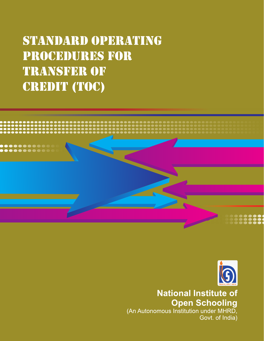## STANDARD OPERATING **PROCEDURES FOR TRANSFER OF CREDIT (TOC)**





**National Institute of Open Schooling** 

(An Autonomous Institution under MHRD, Govt. of India)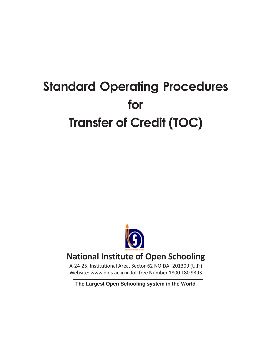## **Standard Operating Procedures for Transfer of Credit (TOC)**



## **National Institute of Open Schooling**

A-24-25, Institutional Area, Sector-62 NOIDA -201309 (U.P.) Website: www.nios.ac.in • Toll free Number 1800 180 9393

**The Largest Open Schooling system in the World**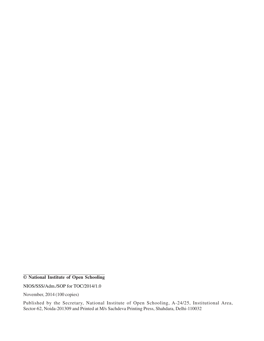NIOS/SSS/Adm./SOP for TOC/2014/1.0

November, 2014 (100 copies)

Published by the Secretary, National Institute of Open Schooling, A-24/25, Institutional Area, Sector-62, Noida-201309 and Printed at M/s Sachdeva Printing Press, Shahdara, Delhi-110032

**<sup>©</sup> National Institute of Open Schooling**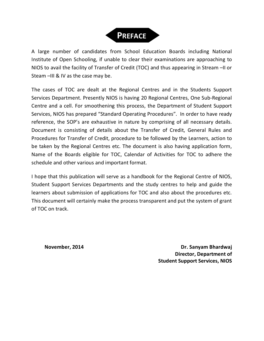

A large number of candidates from School Education Boards including National Institute of Open Schooling, if unable to clear their examinations are approaching to NIOS to avail the facility of Transfer of Credit (TOC) and thus appearing in Stream –II or Steam –III & IV as the case may be.

The cases of TOC are dealt at the Regional Centres and in the Students Support Services Department. Presently NIOS is having 20 Regional Centres, One Sub-Regional Centre and a cell. For smoothening this process, the Department of Student Support Services, NIOS has prepared "Standard Operating Procedures". In order to have ready reference, the SOP's are exhaustive in nature by comprising of all necessary details. Document is consisting of details about the Transfer of Credit, General Rules and Procedures for Transfer of Credit, procedure to be followed by the Learners, action to be taken by the Regional Centres etc. The document is also having application form, Name of the Boards eligible for TOC, Calendar of Activities for TOC to adhere the schedule and other various and important format.

I hope that this publication will serve as a handbook for the Regional Centre of NIOS, Student Support Services Departments and the study centres to help and guide the learners about submission of applications for TOC and also about the procedures etc. This document will certainly make the process transparent and put the system of grant of TOC on track.

**November, 2014 Dr. Sanyam Bhardwaj Director, Department of Student Support Services, NIOS**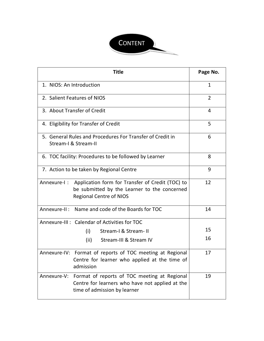

| <b>Title</b>                                                                                                                                      | Page No.       |
|---------------------------------------------------------------------------------------------------------------------------------------------------|----------------|
| 1. NIOS: An Introduction                                                                                                                          | $\mathbf{1}$   |
| 2. Salient Features of NIOS                                                                                                                       | $\overline{2}$ |
| 3. About Transfer of Credit                                                                                                                       | 4              |
| 4. Eligibility for Transfer of Credit                                                                                                             | 5              |
| 5. General Rules and Procedures For Transfer of Credit in<br>Stream-I & Stream-II                                                                 | 6              |
| 6. TOC facility: Procedures to be followed by Learner                                                                                             | 8              |
| 7. Action to be taken by Regional Centre                                                                                                          | 9              |
| Application form for Transfer of Credit (TOC) to<br>Annexure-I:<br>be submitted by the Learner to the concerned<br><b>Regional Centre of NIOS</b> | 12             |
| Annexure-II: Name and code of the Boards for TOC                                                                                                  | 14             |
| Annexure-III : Calendar of Activities for TOC                                                                                                     |                |
| Stream-I & Stream-II<br>(i)                                                                                                                       | 15             |
| (ii)<br>Stream-III & Stream IV                                                                                                                    | 16             |
| Annexure-IV: Format of reports of TOC meeting at Regional<br>Centre for learner who applied at the time of<br>admission                           | 17             |
| Annexure-V: Format of reports of TOC meeting at Regional<br>Centre for learners who have not applied at the<br>time of admission by learner       | 19             |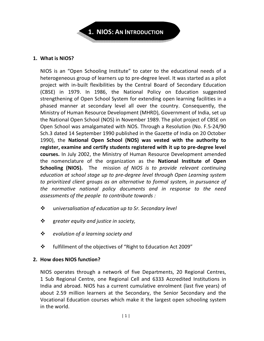

#### **1. What is NIOS?**

NIOS is an "Open Schooling Institute" to cater to the educational needs of a heterogeneous group of learners up to pre-degree level. It was started as a pilot project with in-built flexibilities by the Central Board of Secondary Education (CBSE) in 1979. In 1986, the National Policy on Education suggested strengthening of Open School System for extending open learning facilities in a phased manner at secondary level all over the country. Consequently, the Ministry of Human Resource Development (MHRD), Government of India, set up the National Open School (NOS) in November 1989. The pilot project of CBSE on Open School was amalgamated with NOS. Through a Resolution (No. F.5-24/90 Sch.3 dated 14 September 1990 published in the Gazette of India on 20 October 1990), the **National Open School (NOS) was vested with the authority to register, examine and certify students registered with it up to pre-degree level courses.** In July 2002, the Ministry of Human Resource Development amended the nomenclature of the organization as the **National Institute of Open Schooling (NIOS).** The mission *of NIOS is to provide relevant continuing education at school stage up to pre-degree level through Open Learning system to prioritized client groups as an alternative to formal system, in pursuance of the normative national policy documents and in response to the need assessments of the people to contribute towards :* 

- u*niversalisation of education up to Sr. Secondary level*
- g*reater equity and justice in society,*
- *evolution of a learning society and*
- fulfillment of the objectives of "Right to Education Act 2009"

#### **2. How does NIOS function?**

NIOS operates through a network of five Departments, 20 Regional Centres, 1 Sub Regional Centre, one Regional Cell and 6333 Accredited Institutions in India and abroad. NIOS has a current cumulative enrolment (last five years) of about 2.59 million learners at the Secondary, the Senior Secondary and the Vocational Education courses which make it the largest open schooling system in the world.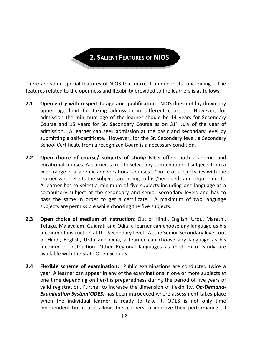**2. SALIENT FEATURES OF NIOS** 

There are some special features of NIOS that make it unique in its functioning. The features related to the openness and flexibility provided to the learners is as follows:

- **2.1 Open entry with respect to age and qualification**: NIOS does not lay down any upper age limit for taking admission in different courses. However, for admission the minimum age of the learner should be 14 years for Secondary Course and 15 years for Sr. Secondary Course as on  $31<sup>st</sup>$  July of the year of admission. A learner can seek admission at the basic and secondary level by submitting a self-certificate. However, for the Sr. Secondary level, a Secondary School Certificate from a recognized Board is a necessary condition.
- **2.2 Open choice of course/ subjects of study:** NIOS offers both academic and vocational courses. A learner is free to select any combination of subjects from a wide range of academic and vocational courses. Choice of subjects lies with the learner who selects the subjects according to his /her needs and requirements. A learner has to select a minimum of five subjects including one language as a compulsory subject at the secondary and senior secondary levels and has to pass the same in order to get a certificate. A maximum of two language subjects are permissible while choosing the five subjects.
- **2.3 Open choice of medium of instruction:** Out of Hindi, English, Urdu, Marathi, Telugu, Malayalam, Gujarati and Odia, a learner can choose any language as his medium of instruction at the Secondary level. At the Senior Secondary level, out of Hindi, English, Urdu and Odia, a learner can choose any language as his medium of instruction. Other Regional languages as medium of study are available with the State Open Schools.
- **2.4 Flexible scheme of examination:** Public examinations are conducted twice a year. A learner can appear in any of the examinations in one or more subjects at one time depending on her/his preparedness during the period of five years of valid registration. Further to increase the dimension of flexibility, *On-Demand-Examination System(ODES)* has been introduced where assessment takes place when the individual learner is ready to take it. ODES is not only time independent but it also allows the learners to improve their performance till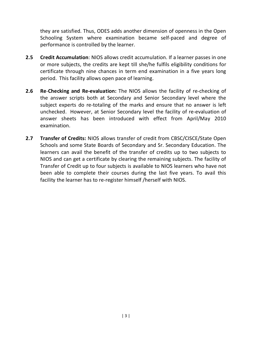they are satisfied. Thus, ODES adds another dimension of openness in the Open Schooling System where examination became self-paced and degree of performance is controlled by the learner.

- **2.5 Credit Accumulation**: NIOS allows credit accumulation. If a learner passes in one or more subjects, the credits are kept till she/he fulfils eligibility conditions for certificate through nine chances in term end examination in a five years long period. This facility allows open pace of learning.
- **2.6 Re**-**Checking and Re-evaluation:** The NIOS allows the facility of re-checking of the answer scripts both at Secondary and Senior Secondary level where the subject experts do re-totaling of the marks and ensure that no answer is left unchecked. However, at Senior Secondary level the facility of re-evaluation of answer sheets has been introduced with effect from April/May 2010 examination.
- **2.7 Transfer of Credits:** NIOS allows transfer of credit from CBSC/CISCE/State Open Schools and some State Boards of Secondary and Sr. Secondary Education. The learners can avail the benefit of the transfer of credits up to two subjects to NIOS and can get a certificate by clearing the remaining subjects. The facility of Transfer of Credit up to four subjects is available to NIOS learners who have not been able to complete their courses during the last five years. To avail this facility the learner has to re-register himself /herself with NIOS.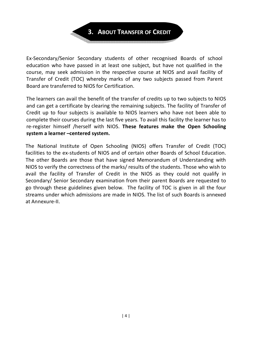

Ex-Secondary/Senior Secondary students of other recognised Boards of school education who have passed in at least one subject, but have not qualified in the course, may seek admission in the respective course at NIOS and avail facility of Transfer of Credit (TOC) whereby marks of any two subjects passed from Parent Board are transferred to NIOS for Certification.

The learners can avail the benefit of the transfer of credits up to two subjects to NIOS and can get a certificate by clearing the remaining subjects. The facility of Transfer of Credit up to four subjects is available to NIOS learners who have not been able to complete their courses during the last five years. To avail this facility the learner has to re-register himself /herself with NIOS. **These features make the Open Schooling system a learner –centered system.** 

The National Institute of Open Schooling (NIOS) offers Transfer of Credit (TOC) facilities to the ex-students of NIOS and of certain other Boards of School Education. The other Boards are those that have signed Memorandum of Understanding with NIOS to verify the correctness of the marks/ results of the students. Those who wish to avail the facility of Transfer of Credit in the NIOS as they could not qualify in Secondary/ Senior Secondary examination from their parent Boards are requested to go through these guidelines given below. The facility of TOC is given in all the four streams under which admissions are made in NIOS. The list of such Boards is annexed at Annexure-II.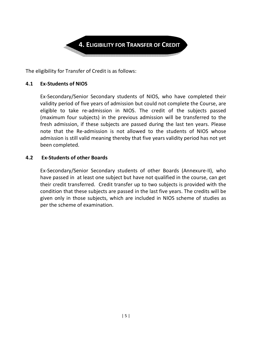

The eligibility for Transfer of Credit is as follows:

#### **4.1 Ex-Students of NIOS**

 Ex-Secondary/Senior Secondary students of NIOS, who have completed their validity period of five years of admission but could not complete the Course, are eligible to take re-admission in NIOS. The credit of the subjects passed (maximum four subjects) in the previous admission will be transferred to the fresh admission, if these subjects are passed during the last ten years. Please note that the Re-admission is not allowed to the students of NIOS whose admission is still valid meaning thereby that five years validity period has not yet been completed.

#### **4.2 Ex-Students of other Boards**

Ex-Secondary/Senior Secondary students of other Boards (Annexure-II), who have passed in at least one subject but have not qualified in the course, can get their credit transferred. Credit transfer up to two subjects is provided with the condition that these subjects are passed in the last five years. The credits will be given only in those subjects, which are included in NIOS scheme of studies as per the scheme of examination.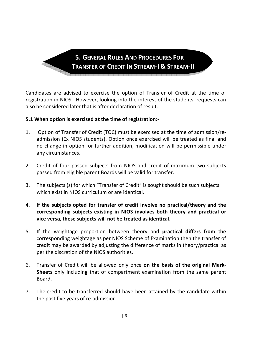**5. GENERAL RULES AND PROCEDURES FOR TRANSFER OF CREDIT IN STREAM-I & STREAM-II** 

Candidates are advised to exercise the option of Transfer of Credit at the time of registration in NIOS. However, looking into the interest of the students, requests can also be considered later that is after declaration of result.

#### **5.1 When option is exercised at the time of registration:-**

- 1. Option of Transfer of Credit (TOC) must be exercised at the time of admission/readmission (Ex NIOS students). Option once exercised will be treated as final and no change in option for further addition, modification will be permissible under any circumstances.
- 2. Credit of four passed subjects from NIOS and credit of maximum two subjects passed from eligible parent Boards will be valid for transfer.
- 3. The subjects (s) for which "Transfer of Credit" is sought should be such subjects which exist in NIOS curriculum or are identical.
- 4. **If the subjects opted for transfer of credit involve no practical/theory and the corresponding subjects existing in NIOS involves both theory and practical or vice versa, these subjects will not be treated as identical.**
- 5. If the weightage proportion between theory and **practical differs from the** corresponding weightage as per NIOS Scheme of Examination then the transfer of credit may be awarded by adjusting the difference of marks in theory/practical as per the discretion of the NIOS authorities.
- 6. Transfer of Credit will be allowed only once **on the basis of the original Mark-Sheets** only including that of compartment examination from the same parent Board.
- 7. The credit to be transferred should have been attained by the candidate within the past five years of re-admission.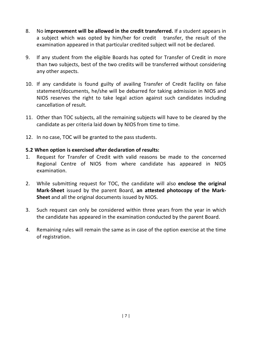- 8. No **improvement will be allowed in the credit transferred.** If a student appears in a subject which was opted by him/her for credit transfer, the result of the examination appeared in that particular credited subject will not be declared.
- 9. If any student from the eligible Boards has opted for Transfer of Credit in more than two subjects, best of the two credits will be transferred without considering any other aspects.
- 10. If any candidate is found guilty of availing Transfer of Credit facility on false statement/documents, he/she will be debarred for taking admission in NIOS and NIOS reserves the right to take legal action against such candidates including cancellation of result.
- 11. Other than TOC subjects, all the remaining subjects will have to be cleared by the candidate as per criteria laid down by NIOS from time to time.
- 12. In no case, TOC will be granted to the pass students.

#### **5.2 When option is exercised after declaration of results:**

- 1. Request for Transfer of Credit with valid reasons be made to the concerned Regional Centre of NIOS from where candidate has appeared in NIOS examination.
- 2. While submitting request for TOC, the candidate will also **enclose the original Mark-Sheet** issued by the parent Board, **an attested photocopy of the Mark-Sheet** and all the original documents issued by NIOS.
- 3. Such request can only be considered within three years from the year in which the candidate has appeared in the examination conducted by the parent Board.
- 4. Remaining rules will remain the same as in case of the option exercise at the time of registration.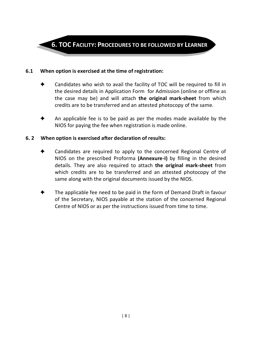

#### **6.1 When option is exercised at the time of registration:**

- Candidates who wish to avail the facility of TOC will be required to fill in the desired details in Application Form for Admission (online or offline as the case may be) and will attach **the original mark-sheet** from which credits are to be transferred and an attested photocopy of the same.
- An applicable fee is to be paid as per the modes made available by the NIOS for paying the fee when registration is made online.

#### **6. 2 When option is exercised after declaration of results:**

- Candidates are required to apply to the concerned Regional Centre of NIOS on the prescribed Proforma **(Annexure-I)** by filling in the desired details. They are also required to attach **the original mark-sheet** from which credits are to be transferred and an attested photocopy of the same along with the original documents issued by the NIOS.
- The applicable fee need to be paid in the form of Demand Draft in favour of the Secretary, NIOS payable at the station of the concerned Regional Centre of NIOS or as per the instructions issued from time to time.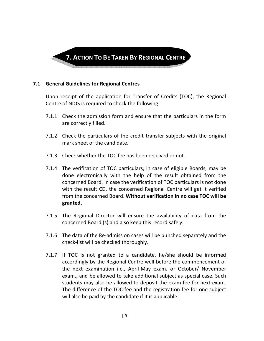

#### **7.1 General Guidelines for Regional Centres**

 Upon receipt of the application for Transfer of Credits (TOC), the Regional Centre of NIOS is required to check the following:

- 7.1.1 Check the admission form and ensure that the particulars in the form are correctly filled.
- 7.1.2 Check the particulars of the credit transfer subjects with the original mark sheet of the candidate.
- 7.1.3 Check whether the TOC fee has been received or not.
- 7.1.4 The verification of TOC particulars, in case of eligible Boards, may be done electronically with the help of the result obtained from the concerned Board. In case the verification of TOC particulars is not done with the result CD, the concerned Regional Centre will get it verified from the concerned Board. **Without verification in no case TOC will be granted.**
- 7.1.5 The Regional Director will ensure the availability of data from the concerned Board (s) and also keep this record safely.
- 7.1.6 The data of the Re-admission cases will be punched separately and the check-list will be checked thoroughly.
- 7.1.7 If TOC is not granted to a candidate, he/she should be informed accordingly by the Regional Centre well before the commencement of the next examination i.e., April-May exam. or October/ November exam., and be allowed to take additional subject as special case. Such students may also be allowed to deposit the exam fee for next exam. The difference of the TOC fee and the registration fee for one subject will also be paid by the candidate if it is applicable.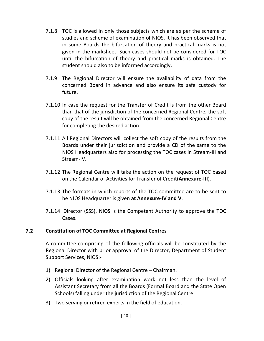- 7.1.8 TOC is allowed in only those subjects which are as per the scheme of studies and scheme of examination of NIOS. It has been observed that in some Boards the bifurcation of theory and practical marks is not given in the marksheet. Such cases should not be considered for TOC until the bifurcation of theory and practical marks is obtained. The student should also to be informed accordingly.
- 7.1.9 The Regional Director will ensure the availability of data from the concerned Board in advance and also ensure its safe custody for future.
- 7.1.10 In case the request for the Transfer of Credit is from the other Board than that of the jurisdiction of the concerned Regional Centre, the soft copy of the result will be obtained from the concerned Regional Centre for completing the desired action.
- 7.1.11 All Regional Directors will collect the soft copy of the results from the Boards under their jurisdiction and provide a CD of the same to the NIOS Headquarters also for processing the TOC cases in Stream-III and Stream-IV.
- 7.1.12 The Regional Centre will take the action on the request of TOC based on the Calendar of Activities for Transfer of Credit(**Annexure-III**).
- 7.1.13 The formats in which reports of the TOC committee are to be sent to be NIOS Headquarter is given **at Annexure-IV and V**.
- 7.1.14 Director (SSS), NIOS is the Competent Authority to approve the TOC Cases.

#### **7.2 Constitution of TOC Committee at Regional Centres**

A committee comprising of the following officials will be constituted by the Regional Director with prior approval of the Director, Department of Student Support Services, NIOS:-

- 1) Regional Director of the Regional Centre Chairman.
- 2) Officials looking after examination work not less than the level of Assistant Secretary from all the Boards (Formal Board and the State Open Schools) falling under the jurisdiction of the Regional Centre.
- 3) Two serving or retired experts in the field of education.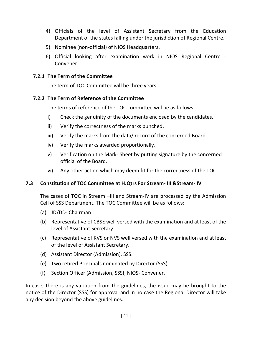- 4) Officials of the level of Assistant Secretary from the Education Department of the states falling under the jurisdiction of Regional Centre.
- 5) Nominee (non-official) of NIOS Headquarters.
- 6) Official looking after examination work in NIOS Regional Centre Convener

#### **7.2.1 The Term of the Committee**

The term of TOC Committee will be three years.

#### **7.2.2 The Term of Reference of the Committee**

The terms of reference of the TOC committee will be as follows:-

- i) Check the genuinity of the documents enclosed by the candidates.
- ii) Verify the correctness of the marks punched.
- iii) Verify the marks from the data/ record of the concerned Board.
- iv) Verify the marks awarded proportionally.
- v) Verification on the Mark- Sheet by putting signature by the concerned official of the Board.
- vi) Any other action which may deem fit for the correctness of the TOC.

#### **7.3 Constitution of TOC Committee at H.Qtrs For Stream- III &Stream- IV**

The cases of TOC in Stream –III and Stream-IV are processed by the Admission Cell of SSS Department. The TOC Committee will be as follows:

- (a) JD/DD- Chairman
- (b) Representative of CBSE well versed with the examination and at least of the level of Assistant Secretary.
- (c) Representative of KVS or NVS well versed with the examination and at least of the level of Assistant Secretary.
- (d) Assistant Director (Admission), SSS.
- (e) Two retired Principals nominated by Director (SSS).
- (f) Section Officer (Admission, SSS), NIOS- Convener.

In case, there is any variation from the guidelines, the issue may be brought to the notice of the Director (SSS) for approval and in no case the Regional Director will take any decision beyond the above guidelines.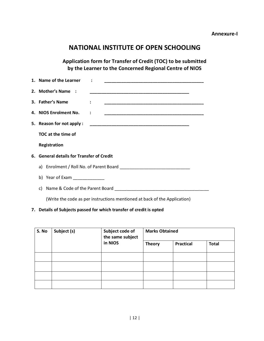#### **NATIONAL INSTITUTE OF OPEN SCHOOLING**

**Application form for Transfer of Credit (TOC) to be submitted by the Learner to the Concerned Regional Centre of NIOS** 

| 1. Name of the Learner        |                                                                                                                                                                                                                                |  |  |  |  |  |  |  |  |  |
|-------------------------------|--------------------------------------------------------------------------------------------------------------------------------------------------------------------------------------------------------------------------------|--|--|--|--|--|--|--|--|--|
| 2. Mother's Name :            |                                                                                                                                                                                                                                |  |  |  |  |  |  |  |  |  |
| 3. Father's Name              | <u> 1990 - Johann John Stoff, deutscher Stoffen und der Stoffen und der Stoffen und der Stoffen und der Stoffen u</u>                                                                                                          |  |  |  |  |  |  |  |  |  |
| 4. NIOS Enrolment No.         |                                                                                                                                                                                                                                |  |  |  |  |  |  |  |  |  |
| 5. Reason for not apply:      |                                                                                                                                                                                                                                |  |  |  |  |  |  |  |  |  |
| TOC at the time of            |                                                                                                                                                                                                                                |  |  |  |  |  |  |  |  |  |
| Registration                  |                                                                                                                                                                                                                                |  |  |  |  |  |  |  |  |  |
|                               | 6. General details for Transfer of Credit                                                                                                                                                                                      |  |  |  |  |  |  |  |  |  |
|                               |                                                                                                                                                                                                                                |  |  |  |  |  |  |  |  |  |
| b) Year of Exam $\frac{1}{2}$ |                                                                                                                                                                                                                                |  |  |  |  |  |  |  |  |  |
|                               | c) Name & Code of the Parent Board Contract Contract Contract Contract Contract Contract Contract Contract Contract Contract Contract Contract Contract Contract Contract Contract Contract Contract Contract Contract Contrac |  |  |  |  |  |  |  |  |  |

(Write the code as per instructions mentioned at back of the Application)

#### **7. Details of Subjects passed for which transfer of credit is opted**

| S. No | Subject (s) | Subject code of<br>the same subject | <b>Marks Obtained</b> |                  |              |  |  |  |  |
|-------|-------------|-------------------------------------|-----------------------|------------------|--------------|--|--|--|--|
|       |             | in NIOS                             | <b>Theory</b>         | <b>Practical</b> | <b>Total</b> |  |  |  |  |
|       |             |                                     |                       |                  |              |  |  |  |  |
|       |             |                                     |                       |                  |              |  |  |  |  |
|       |             |                                     |                       |                  |              |  |  |  |  |
|       |             |                                     |                       |                  |              |  |  |  |  |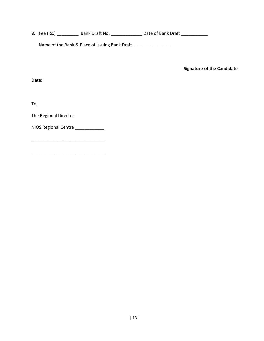**8.** Fee (Rs.) \_\_\_\_\_\_\_\_\_\_\_\_ Bank Draft No. \_\_\_\_\_\_\_\_\_\_\_\_\_\_\_\_\_ Date of Bank Draft \_\_\_\_\_\_\_\_\_\_\_\_\_

Name of the Bank & Place of issuing Bank Draft \_\_\_\_\_\_\_\_\_\_\_\_\_\_\_\_

 **Signature of the Candidate** 

**Date:** 

To,

The Regional Director

NIOS Regional Centre \_\_\_\_\_\_\_\_\_\_\_

\_\_\_\_\_\_\_\_\_\_\_\_\_\_\_\_\_\_\_\_\_\_\_\_\_\_\_\_\_\_

 $\overline{\phantom{a}}$  , and the contract of the contract of the contract of the contract of the contract of the contract of the contract of the contract of the contract of the contract of the contract of the contract of the contrac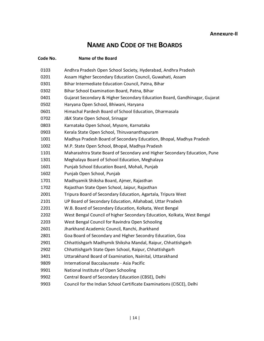## **NAME AND CODE OF THE BOARDS**

| Code No. | Name of the Board                                                          |
|----------|----------------------------------------------------------------------------|
| 0103     | Andhra Pradesh Open School Society, Hyderabad, Andhra Pradesh              |
| 0201     | Assam Higher Secondary Education Council, Guwahati, Assam                  |
| 0301     | Bihar Intermediate Education Council, Patna, Bihar                         |
| 0302     | Bihar School Examination Board, Patna, Bihar                               |
| 0401     | Gujarat Secondary & Higher Secondary Education Board, Gandhinagar, Gujarat |
| 0502     | Haryana Open School, Bhiwani, Haryana                                      |
| 0601     | Himachal Pardesh Board of School Education, Dharmasala                     |
| 0702     | J&K State Open School, Srinagar                                            |
| 0803     | Karnataka Open School, Mysore, Karnataka                                   |
| 0903     | Kerala State Open School, Thiruvananthapuram                               |
| 1001     | Madhya Pradesh Board of Secondary Education, Bhopal, Madhya Pradesh        |
| 1002     | M.P. State Open School, Bhopal, Madhya Pradesh                             |
| 1101     | Maharashtra State Board of Secondary and Higher Secondary Education, Pune  |
| 1301     | Meghalaya Board of School Education, Meghalaya                             |
| 1601     | Punjab School Education Board, Mohali, Punjab                              |
| 1602     | Punjab Open School, Punjab                                                 |
| 1701     | Madhyamik Shiksha Board, Ajmer, Rajasthan                                  |
| 1702     | Rajasthan State Open School, Jaipur, Rajasthan                             |
| 2001     | Tripura Board of Secondary Education, Agartala, Tripura West               |
| 2101     | UP Board of Secondary Education, Allahabad, Uttar Pradesh                  |
| 2201     | W.B. Board of Secondary Education, Kolkata, West Bengal                    |
| 2202     | West Bengal Council of higher Secondary Education, Kolkata, West Bengal    |
| 2203     | West Bengal Council for Ravindra Open Schooling                            |
| 2601     | Jharkhand Academic Council, Ranchi, Jharkhand                              |
| 2801     | Goa Board of Secondary and Higher Secondry Education, Goa                  |
| 2901     | Chhattishgarh Madhymik Shiksha Mandal, Raipur, Chhattishgarh               |
| 2902     | Chhattishgarh State Open School, Raipur, Chhattishgarh                     |
| 3401     | Uttarakhand Board of Examination, Nainital, Uttarakhand                    |
| 9809     | International Baccalaureate - Asia Pacific                                 |
| 9901     | National Institute of Open Schooling                                       |
| 9902     | Central Board of Secondary Education (CBSE), Delhi                         |
| 9903     | Council for the Indian School Certificate Examinations (CISCE), Delhi      |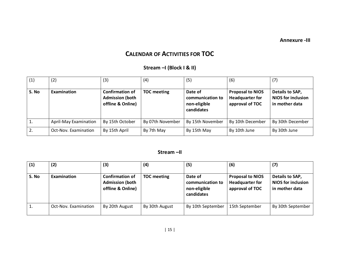**Annexure -III** 

### **CALENDAR OF ACTIVITIES FOR TOC**

#### **Stream –I (Block I & II)**

| (1)   | (2)                          | (3)                                                                   | (4)                | (5)                                                       | (6)                                                                  | (7)                                                            |
|-------|------------------------------|-----------------------------------------------------------------------|--------------------|-----------------------------------------------------------|----------------------------------------------------------------------|----------------------------------------------------------------|
| S. No | Examination                  | <b>Confirmation of</b><br><b>Admission (both</b><br>offline & Online) | <b>TOC meeting</b> | Date of<br>communication to<br>non-eligible<br>candidates | <b>Proposal to NIOS</b><br><b>Headquarter for</b><br>approval of TOC | Details to SAP,<br><b>NIOS for inclusion</b><br>in mother data |
|       | <b>April-May Examination</b> | By 15th October                                                       | By 07th November   | By 15th November                                          | By 10th December                                                     | By 30th December                                               |
| 2.    | Oct-Nov. Examination         | By 15th April                                                         | By 7th May         | By 15th May                                               | By 10th June                                                         | By 30th June                                                   |

#### **Stream –II**

| (1)   | (2)                  | (3)                                                                   | (4)                | (5)                                                       | (6)                                                                  | (7)                                                            |
|-------|----------------------|-----------------------------------------------------------------------|--------------------|-----------------------------------------------------------|----------------------------------------------------------------------|----------------------------------------------------------------|
| S. No | Examination          | <b>Confirmation of</b><br><b>Admission (both</b><br>offline & Online) | <b>TOC</b> meeting | Date of<br>communication to<br>non-eligible<br>candidates | <b>Proposal to NIOS</b><br><b>Headquarter for</b><br>approval of TOC | Details to SAP,<br><b>NIOS for inclusion</b><br>in mother data |
|       | Oct-Nov. Examination | By 20th August                                                        | By 30th August     | By 10th September                                         | 15th September                                                       | By 30th September                                              |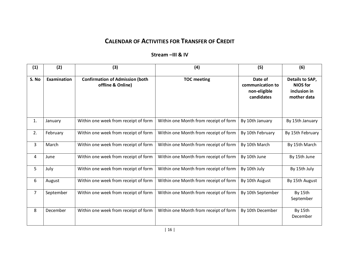### **CALENDAR OF ACTIVITIES FOR TRANSFER OF CREDIT**

#### **Stream –III & IV**

| (1)            | (2)         | (3)                                                         | (4)                                   | (5)                                                       | (6)                                                               |
|----------------|-------------|-------------------------------------------------------------|---------------------------------------|-----------------------------------------------------------|-------------------------------------------------------------------|
| S. No          | Examination | <b>Confirmation of Admission (both</b><br>offline & Online) | <b>TOC meeting</b>                    | Date of<br>communication to<br>non-eligible<br>candidates | Details to SAP,<br><b>NIOS</b> for<br>inclusion in<br>mother data |
| 1.             | January     | Within one week from receipt of form                        | Within one Month from receipt of form | By 10th January                                           | By 15th January                                                   |
| 2.             | February    | Within one week from receipt of form                        | Within one Month from receipt of form | By 10th February                                          | By 15th February                                                  |
| 3              | March       | Within one week from receipt of form                        | Within one Month from receipt of form | By 10th March                                             | By 15th March                                                     |
| 4              | June        | Within one week from receipt of form                        | Within one Month from receipt of form | By 10th June                                              | By 15th June                                                      |
| 5              | July        | Within one week from receipt of form                        | Within one Month from receipt of form | By 10th July                                              | By 15th July                                                      |
| 6              | August      | Within one week from receipt of form                        | Within one Month from receipt of form | By 10th August                                            | By 15th August                                                    |
| $\overline{7}$ | September   | Within one week from receipt of form                        | Within one Month from receipt of form | By 10th September                                         | By 15th<br>September                                              |
| 8              | December    | Within one week from receipt of form                        | Within one Month from receipt of form | By 10th December                                          | By 15th<br>December                                               |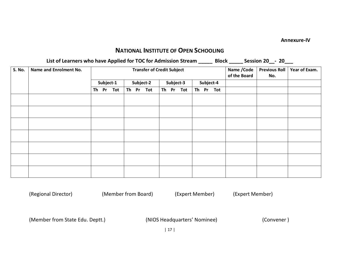#### **Annexure-IV**

#### **NATIONAL INSTITUTE OF OPEN SCHOOLING**

**List of Learners who have Applied for TOC for Admission Stream \_\_\_\_\_ Block \_\_\_\_\_ Session 20\_\_- 20\_\_\_**

| S. No. | Name and Enrolment No. | <b>Transfer of Credit Subject</b> |            |  |           |           |  |           |           |  |           |           | Name / Code<br>of the Board | <b>Previous Roll</b><br>No. | Year of Exam. |
|--------|------------------------|-----------------------------------|------------|--|-----------|-----------|--|-----------|-----------|--|-----------|-----------|-----------------------------|-----------------------------|---------------|
|        |                        | Subject-1                         |            |  | Subject-2 |           |  | Subject-3 |           |  | Subject-4 |           |                             |                             |               |
|        |                        | Th Pr                             | <b>Tot</b> |  |           | Th Pr Tot |  |           | Th Pr Tot |  |           | Th Pr Tot |                             |                             |               |
|        |                        |                                   |            |  |           |           |  |           |           |  |           |           |                             |                             |               |
|        |                        |                                   |            |  |           |           |  |           |           |  |           |           |                             |                             |               |
|        |                        |                                   |            |  |           |           |  |           |           |  |           |           |                             |                             |               |
|        |                        |                                   |            |  |           |           |  |           |           |  |           |           |                             |                             |               |
|        |                        |                                   |            |  |           |           |  |           |           |  |           |           |                             |                             |               |
|        |                        |                                   |            |  |           |           |  |           |           |  |           |           |                             |                             |               |
|        |                        |                                   |            |  |           |           |  |           |           |  |           |           |                             |                             |               |

(Regional Director) (Member from Board) (Expert Member) (Expert Member)

(Member from State Edu. Deptt.) (NIOS Headquarters' Nominee) (Convener )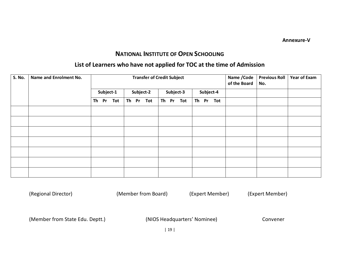**Annexure-V** 

#### **NATIONAL INSTITUTE OF OPEN SCHOOLING**

#### **List of Learners who have not applied for TOC at the time of Admission**

| S. No. | Name and Enrolment No. | <b>Transfer of Credit Subject</b> |           |    |           |        |  |           |           |           |  | Name / Code<br>of the Board | <b>Previous Roll</b><br>No. | <b>Year of Exam</b> |  |
|--------|------------------------|-----------------------------------|-----------|----|-----------|--------|--|-----------|-----------|-----------|--|-----------------------------|-----------------------------|---------------------|--|
|        |                        |                                   | Subject-1 |    | Subject-2 |        |  | Subject-3 |           | Subject-4 |  |                             |                             |                     |  |
|        |                        | Th Pr Tot                         |           | Th |           | Pr Tot |  |           | Th Pr Tot |           |  | Th Pr Tot                   |                             |                     |  |
|        |                        |                                   |           |    |           |        |  |           |           |           |  |                             |                             |                     |  |
|        |                        |                                   |           |    |           |        |  |           |           |           |  |                             |                             |                     |  |
|        |                        |                                   |           |    |           |        |  |           |           |           |  |                             |                             |                     |  |
|        |                        |                                   |           |    |           |        |  |           |           |           |  |                             |                             |                     |  |
|        |                        |                                   |           |    |           |        |  |           |           |           |  |                             |                             |                     |  |
|        |                        |                                   |           |    |           |        |  |           |           |           |  |                             |                             |                     |  |
|        |                        |                                   |           |    |           |        |  |           |           |           |  |                             |                             |                     |  |

(Regional Director) (Member from Board) (Expert Member) (Expert Member)

(Member from State Edu. Deptt.) (NIOS Headquarters' Nominee) Convener